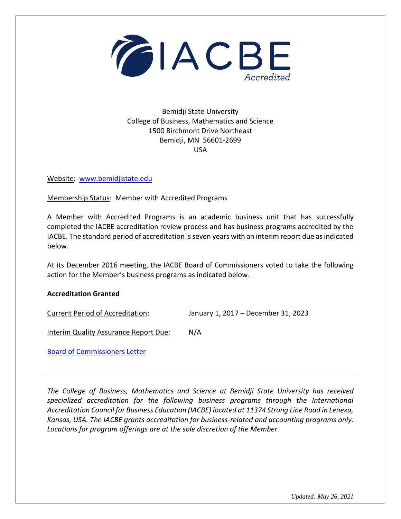

Bemidji State University College of Business, Mathematics and Science 1500 Birchmont Drive Northeast Bemidji, MN 56601-2699 USA

Website: [www.bemidjistate.edu](http://www.bemidjistate.edu/)

Membership Status: Member with Accredited Programs

A Member with Accredited Programs is an academic business unit that has successfully completed the IACBE accreditation review process and has business programs accredited by the IACBE. The standard period of accreditation is seven years with an interim report due as indicated below.

At its December 2016 meeting, the IACBE Board of Commissioners voted to take the following action for the Member's business programs as indicated below.

## **Accreditation Granted**

Current Period of Accreditation: January 1, 2017 – December 31, 2023

Interim Quality Assurance Report Due: N/A

[Board of Commissioners Letter](https://iacbe.org/memberpdf/BemidjiStateUniv-BOCDecisionLetter2016.pdf)

*The College of Business, Mathematics and Science at Bemidji State University has received specialized accreditation for the following business programs through the International Accreditation Council for Business Education (IACBE) located at 11374 Strang Line Road in Lenexa, Kansas, USA. The IACBE grants accreditation for business-related and accounting programs only. Locations for program offerings are at the sole discretion of the Member.*